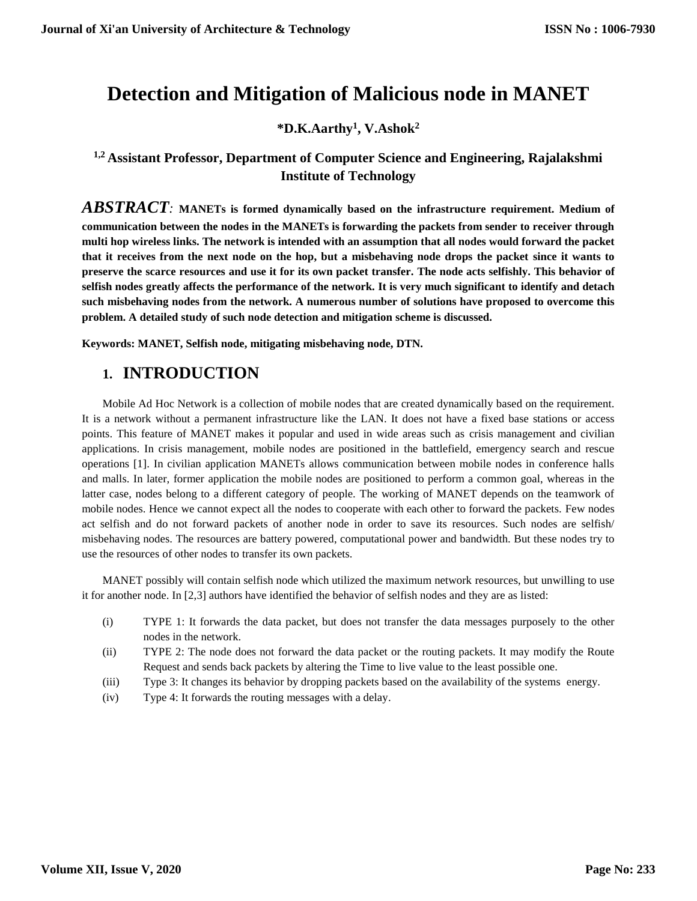# **Detection and Mitigation of Malicious node in MANET**

### **\*D.K.Aarthy<sup>1</sup> , V.Ashok<sup>2</sup>**

### **1,2 Assistant Professor, Department of Computer Science and Engineering, Rajalakshmi Institute of Technology**

*ABSTRACT:* **MANETs is formed dynamically based on the infrastructure requirement. Medium of communication between the nodes in the MANETs is forwarding the packets from sender to receiver through multi hop wireless links. The network is intended with an assumption that all nodes would forward the packet that it receives from the next node on the hop, but a misbehaving node drops the packet since it wants to preserve the scarce resources and use it for its own packet transfer. The node acts selfishly. This behavior of selfish nodes greatly affects the performance of the network. It is very much significant to identify and detach such misbehaving nodes from the network. A numerous number of solutions have proposed to overcome this problem. A detailed study of such node detection and mitigation scheme is discussed.**

**Keywords: MANET, Selfish node, mitigating misbehaving node, DTN.**

### **1. INTRODUCTION**

Mobile Ad Hoc Network is a collection of mobile nodes that are created dynamically based on the requirement. It is a network without a permanent infrastructure like the LAN. It does not have a fixed base stations or access points. This feature of MANET makes it popular and used in wide areas such as crisis management and civilian applications. In crisis management, mobile nodes are positioned in the battlefield, emergency search and rescue operations [1]. In civilian application MANETs allows communication between mobile nodes in conference halls and malls. In later, former application the mobile nodes are positioned to perform a common goal, whereas in the latter case, nodes belong to a different category of people. The working of MANET depends on the teamwork of mobile nodes. Hence we cannot expect all the nodes to cooperate with each other to forward the packets. Few nodes act selfish and do not forward packets of another node in order to save its resources. Such nodes are selfish/ misbehaving nodes. The resources are battery powered, computational power and bandwidth. But these nodes try to use the resources of other nodes to transfer its own packets.

MANET possibly will contain selfish node which utilized the maximum network resources, but unwilling to use it for another node. In [2,3] authors have identified the behavior of selfish nodes and they are as listed:

- (i) TYPE 1: It forwards the data packet, but does not transfer the data messages purposely to the other nodes in the network.
- (ii) TYPE 2: The node does not forward the data packet or the routing packets. It may modify the Route Request and sends back packets by altering the Time to live value to the least possible one.
- (iii) Type 3: It changes its behavior by dropping packets based on the availability of the systems energy.
- (iv) Type 4: It forwards the routing messages with a delay.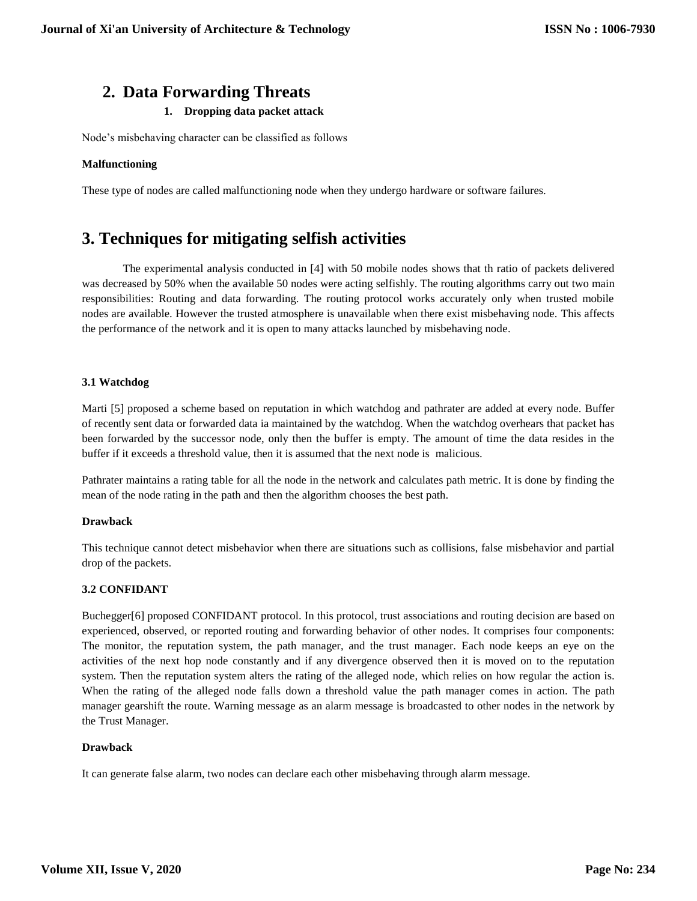### **2. Data Forwarding Threats**

#### **1. Dropping data packet attack**

Node's misbehaving character can be classified as follows

#### **Malfunctioning**

These type of nodes are called malfunctioning node when they undergo hardware or software failures.

### **3. Techniques for mitigating selfish activities**

The experimental analysis conducted in [4] with 50 mobile nodes shows that th ratio of packets delivered was decreased by 50% when the available 50 nodes were acting selfishly. The routing algorithms carry out two main responsibilities: Routing and data forwarding. The routing protocol works accurately only when trusted mobile nodes are available. However the trusted atmosphere is unavailable when there exist misbehaving node. This affects the performance of the network and it is open to many attacks launched by misbehaving node.

#### **3.1 Watchdog**

Marti [5] proposed a scheme based on reputation in which watchdog and pathrater are added at every node. Buffer of recently sent data or forwarded data ia maintained by the watchdog. When the watchdog overhears that packet has been forwarded by the successor node, only then the buffer is empty. The amount of time the data resides in the buffer if it exceeds a threshold value, then it is assumed that the next node is malicious.

Pathrater maintains a rating table for all the node in the network and calculates path metric. It is done by finding the mean of the node rating in the path and then the algorithm chooses the best path.

#### **Drawback**

This technique cannot detect misbehavior when there are situations such as collisions, false misbehavior and partial drop of the packets.

#### **3.2 CONFIDANT**

Buchegger[6] proposed CONFIDANT protocol. In this protocol, trust associations and routing decision are based on experienced, observed, or reported routing and forwarding behavior of other nodes. It comprises four components: The monitor, the reputation system, the path manager, and the trust manager. Each node keeps an eye on the activities of the next hop node constantly and if any divergence observed then it is moved on to the reputation system. Then the reputation system alters the rating of the alleged node, which relies on how regular the action is. When the rating of the alleged node falls down a threshold value the path manager comes in action. The path manager gearshift the route. Warning message as an alarm message is broadcasted to other nodes in the network by the Trust Manager.

#### **Drawback**

It can generate false alarm, two nodes can declare each other misbehaving through alarm message.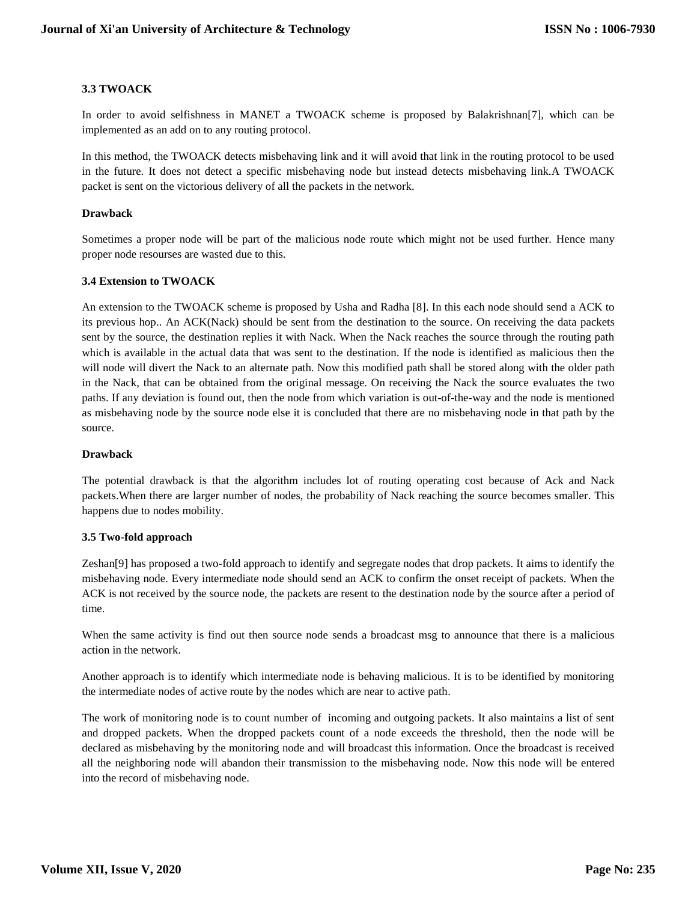#### **3.3 TWOACK**

In order to avoid selfishness in MANET a TWOACK scheme is proposed by Balakrishnan[7], which can be implemented as an add on to any routing protocol.

In this method, the TWOACK detects misbehaving link and it will avoid that link in the routing protocol to be used in the future. It does not detect a specific misbehaving node but instead detects misbehaving link.A TWOACK packet is sent on the victorious delivery of all the packets in the network.

#### **Drawback**

Sometimes a proper node will be part of the malicious node route which might not be used further. Hence many proper node resourses are wasted due to this.

#### **3.4 Extension to TWOACK**

An extension to the TWOACK scheme is proposed by Usha and Radha [8]. In this each node should send a ACK to its previous hop.. An ACK(Nack) should be sent from the destination to the source. On receiving the data packets sent by the source, the destination replies it with Nack. When the Nack reaches the source through the routing path which is available in the actual data that was sent to the destination. If the node is identified as malicious then the will node will divert the Nack to an alternate path. Now this modified path shall be stored along with the older path in the Nack, that can be obtained from the original message. On receiving the Nack the source evaluates the two paths. If any deviation is found out, then the node from which variation is out-of-the-way and the node is mentioned as misbehaving node by the source node else it is concluded that there are no misbehaving node in that path by the source.

#### **Drawback**

The potential drawback is that the algorithm includes lot of routing operating cost because of Ack and Nack packets.When there are larger number of nodes, the probability of Nack reaching the source becomes smaller. This happens due to nodes mobility.

#### **3.5 Two-fold approach**

Zeshan[9] has proposed a two-fold approach to identify and segregate nodes that drop packets. It aims to identify the misbehaving node. Every intermediate node should send an ACK to confirm the onset receipt of packets. When the ACK is not received by the source node, the packets are resent to the destination node by the source after a period of time.

When the same activity is find out then source node sends a broadcast msg to announce that there is a malicious action in the network.

Another approach is to identify which intermediate node is behaving malicious. It is to be identified by monitoring the intermediate nodes of active route by the nodes which are near to active path.

The work of monitoring node is to count number of incoming and outgoing packets. It also maintains a list of sent and dropped packets. When the dropped packets count of a node exceeds the threshold, then the node will be declared as misbehaving by the monitoring node and will broadcast this information. Once the broadcast is received all the neighboring node will abandon their transmission to the misbehaving node. Now this node will be entered into the record of misbehaving node.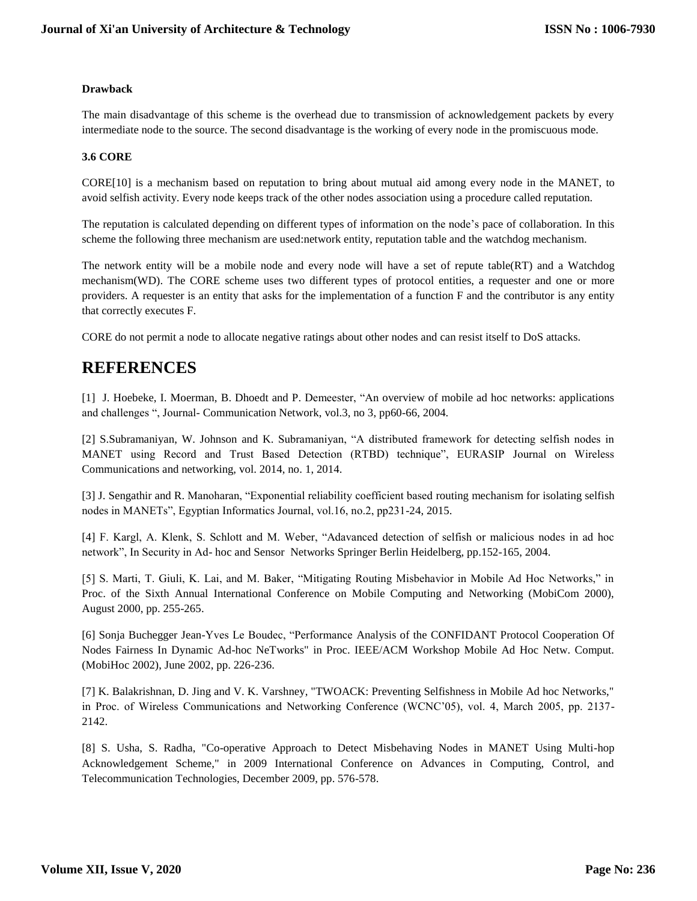#### **Drawback**

The main disadvantage of this scheme is the overhead due to transmission of acknowledgement packets by every intermediate node to the source. The second disadvantage is the working of every node in the promiscuous mode.

#### **3.6 CORE**

CORE[10] is a mechanism based on reputation to bring about mutual aid among every node in the MANET, to avoid selfish activity. Every node keeps track of the other nodes association using a procedure called reputation.

The reputation is calculated depending on different types of information on the node's pace of collaboration. In this scheme the following three mechanism are used:network entity, reputation table and the watchdog mechanism.

The network entity will be a mobile node and every node will have a set of repute table(RT) and a Watchdog mechanism(WD). The CORE scheme uses two different types of protocol entities, a requester and one or more providers. A requester is an entity that asks for the implementation of a function F and the contributor is any entity that correctly executes F.

CORE do not permit a node to allocate negative ratings about other nodes and can resist itself to DoS attacks.

## **REFERENCES**

[1] J. Hoebeke, I. Moerman, B. Dhoedt and P. Demeester, "An overview of mobile ad hoc networks: applications and challenges ", Journal- Communication Network, vol.3, no 3, pp60-66, 2004.

[2] S.Subramaniyan, W. Johnson and K. Subramaniyan, "A distributed framework for detecting selfish nodes in MANET using Record and Trust Based Detection (RTBD) technique", EURASIP Journal on Wireless Communications and networking, vol. 2014, no. 1, 2014.

[3] J. Sengathir and R. Manoharan, "Exponential reliability coefficient based routing mechanism for isolating selfish nodes in MANETs", Egyptian Informatics Journal, vol.16, no.2, pp231-24, 2015.

[4] F. Kargl, A. Klenk, S. Schlott and M. Weber, "Adavanced detection of selfish or malicious nodes in ad hoc network", In Security in Ad- hoc and Sensor Networks Springer Berlin Heidelberg, pp.152-165, 2004.

[5] S. Marti, T. Giuli, K. Lai, and M. Baker, "Mitigating Routing Misbehavior in Mobile Ad Hoc Networks," in Proc. of the Sixth Annual International Conference on Mobile Computing and Networking (MobiCom 2000), August 2000, pp. 255-265.

[6] Sonja Buchegger Jean-Yves Le Boudec, "Performance Analysis of the CONFIDANT Protocol Cooperation Of Nodes Fairness In Dynamic Ad-hoc NeTworks" in Proc. IEEE/ACM Workshop Mobile Ad Hoc Netw. Comput. (MobiHoc 2002), June 2002, pp. 226-236.

[7] K. Balakrishnan, D. Jing and V. K. Varshney, "TWOACK: Preventing Selfishness in Mobile Ad hoc Networks," in Proc. of Wireless Communications and Networking Conference (WCNC'05), vol. 4, March 2005, pp. 2137- 2142.

[8] S. Usha, S. Radha, "Co-operative Approach to Detect Misbehaving Nodes in MANET Using Multi-hop Acknowledgement Scheme," in 2009 International Conference on Advances in Computing, Control, and Telecommunication Technologies, December 2009, pp. 576-578.